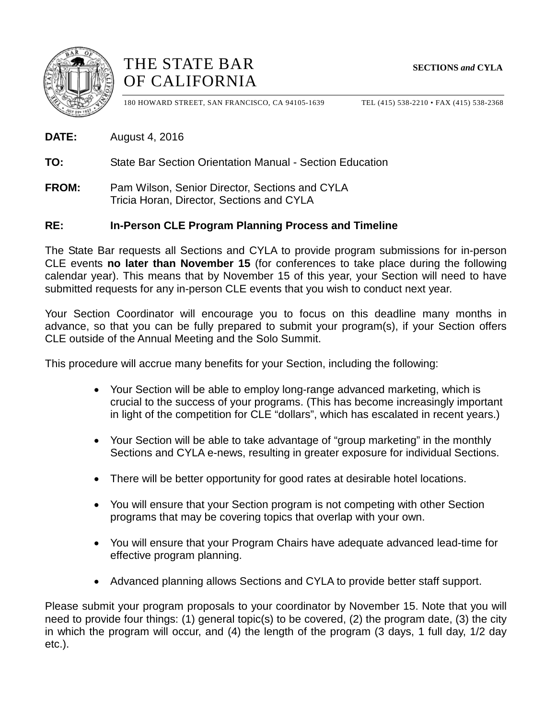





180 HOWARD STREET, SAN FRANCISCO, CA 94105-1639 TEL (415) 538-2210 • FAX (415) 538-2368

**DATE:** August 4, 2016

**TO:** State Bar Section Orientation Manual - Section Education

**FROM:** Pam Wilson, Senior Director, Sections and CYLA Tricia Horan, Director, Sections and CYLA

## **RE: In-Person CLE Program Planning Process and Timeline**

The State Bar requests all Sections and CYLA to provide program submissions for in-person CLE events **no later than November 15** (for conferences to take place during the following calendar year). This means that by November 15 of this year, your Section will need to have submitted requests for any in-person CLE events that you wish to conduct next year.

Your Section Coordinator will encourage you to focus on this deadline many months in advance, so that you can be fully prepared to submit your program(s), if your Section offers CLE outside of the Annual Meeting and the Solo Summit.

This procedure will accrue many benefits for your Section, including the following:

- Your Section will be able to employ long-range advanced marketing, which is crucial to the success of your programs. (This has become increasingly important in light of the competition for CLE "dollars", which has escalated in recent years.)
- Your Section will be able to take advantage of "group marketing" in the monthly Sections and CYLA e-news, resulting in greater exposure for individual Sections.
- There will be better opportunity for good rates at desirable hotel locations.
- You will ensure that your Section program is not competing with other Section programs that may be covering topics that overlap with your own.
- You will ensure that your Program Chairs have adequate advanced lead-time for effective program planning.
- Advanced planning allows Sections and CYLA to provide better staff support.

Please submit your program proposals to your coordinator by November 15. Note that you will need to provide four things: (1) general topic(s) to be covered, (2) the program date, (3) the city in which the program will occur, and (4) the length of the program (3 days, 1 full day, 1/2 day etc.).